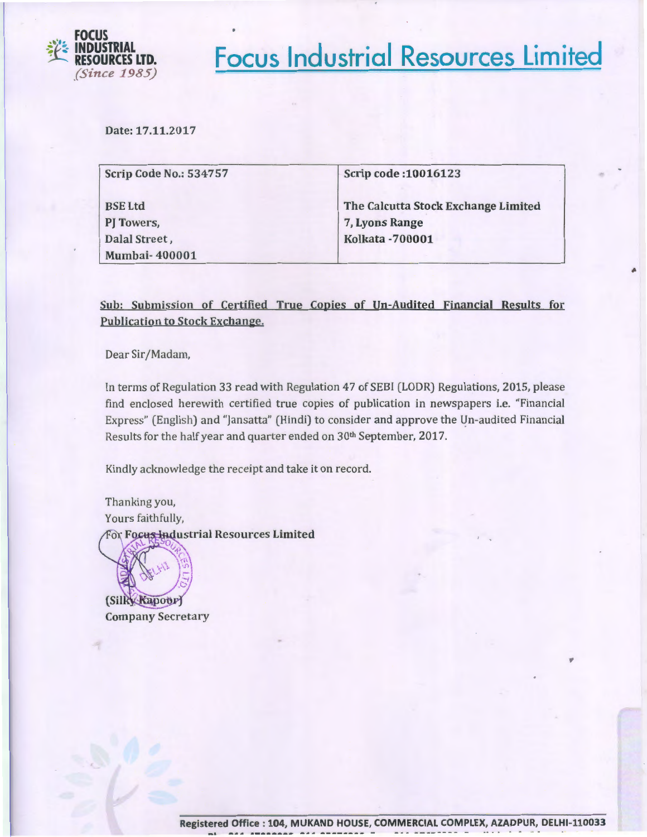

**Focus Industrial Resources Limited** 

Date: 17.11.2017

| Scrip Code No.: 534757 | Scrip code: 10016123                |
|------------------------|-------------------------------------|
| <b>BSE Ltd</b>         | The Calcutta Stock Exchange Limited |
| PJ Towers,             | 7, Lyons Range                      |
| Dalal Street,          | <b>Kolkata - 700001</b>             |
| <b>Mumbai-400001</b>   |                                     |

Sub: Submission of Certified True Copies of Un-Audited Financial Results for Publication to Stock Exchange.

Dear Sir/Madam,

In terms of Regulation 33 read with Regulation 47 of SEBI (LODR) Regulations, 2015, please find enclosed herewith certified true copies of publication in newspapers i.e. "Financial Express" (English) and "Jansatta" (Hindi) to consider and approve the Un-audited Financial Results for the half year and quarter ended on 30<sup>th</sup> September, 2017.

Kindly acknowledge the receipt and take it on record.

Thanking you, Yours faithfully, **For Focus Industrial Resources Limited** 



(Silky Kapoor) Company Secretary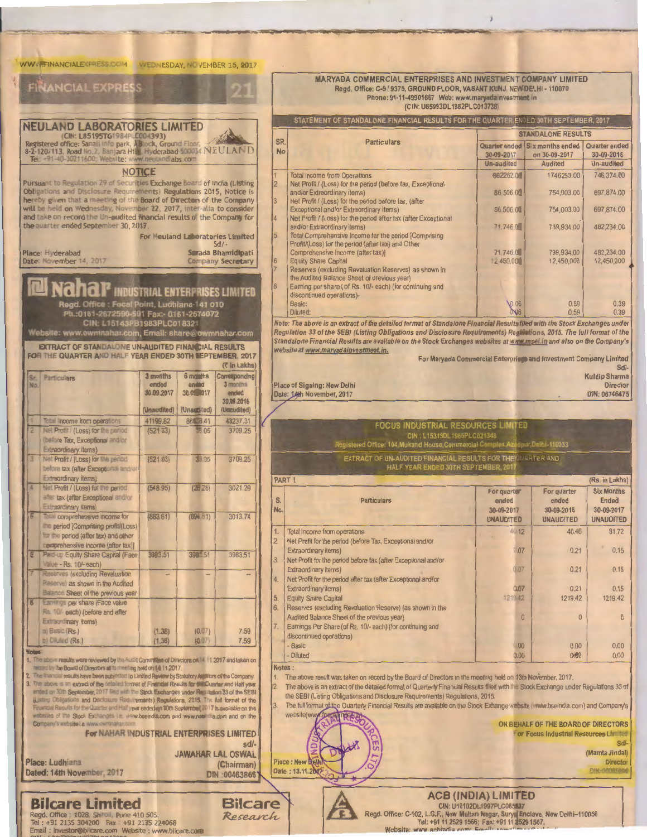

**Bilcare** 

Research

**Bilcare Limited** Regd. Office: 1028, Shiroli, Pune 410 505. Tel: +91 2135 304200 Fax: +91 2135 224068 Email: investor@bllcare.com Website: www.bilcare.com

**ACB (INDIA) LIMITED** CIN: U10102DL1997PLC085837<br>Regd. Office: C-102, L.G.F., New Multan Nagar, Surya Enclave, New Delhi-110056<br>Tel: +91 11 2529 1567;<br>Website: www.achindia.com: Email: +91 11 2529 1567; Website:  $WWW$ 

Quarter ended

30-09-2016

Un-audited

746,374.00

697,874.00

697,874.00

482,234,00

482,234.00

12,450,000

 $0.39$ 

 $0.39$ 

Sdl-

**Director** 

**Kuldip Sharma** 

DIN: 06746475

(Rs. in Lakhs)

**Six Months** 

Ended

30-09-2017

**UNAUDITED** 

8172

 $0.15$ 

 $0.15$ 

 $0.15$ 

 $\Omega$ 

 $0.00$ 

 $0.00$ 

Srll.

(Mamta Jindal)

**DIN:00085096** 

Director

121942

4046

 $0.21$ 

 $0.21$ 

 $0.21$ 

 $\overline{0}$ 

 $0.00$ 

 $0.00$ 

 $0.59$ 

 $0.59$